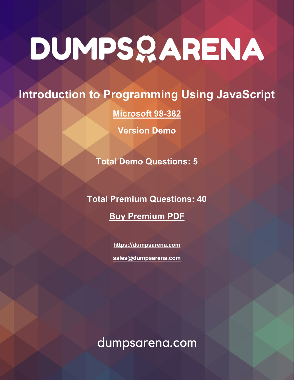# **Introduction to Programming Using JavaScript**

**[Microsoft 98-382](https://dumpsarena.com/exam/98-382/)**

**Version Demo**

**Total Demo Questions: 5**

**Total Premium Questions: 40 [Buy Premium PDF](https://dumpsarena.com/exam/98-382/)**

> **[https://dumpsarena.com](https://dumpsarena.com/) [sales@dumpsarena.com](mailto:sales@dumpsarena.com)**

dumpsarena.com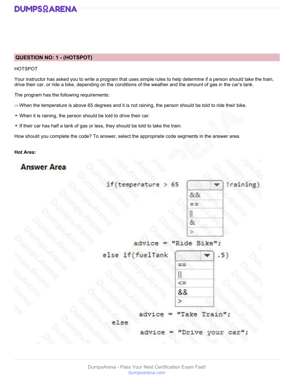

### **QUESTION NO: 1 - (HOTSPOT)**

### HOTSPOT

Your instructor has asked you to write a program that uses simple rules to help determine if a person should take the train, drive their car, or ride a bike, depending on the conditions of the weather and the amount of gas in the car's tank.

The program has the following requirements:

- $\blacktriangleright$  When the temperature is above 65 degrees and it is not raining, the person should be told to ride their bike.
- When it is raining, the person should be told to drive their car.
- If their car has half a tank of gas or less, they should be told to take the train.

How should you complete the code? To answer, select the appropriate code segments in the answer area.

### **Hot Area:**



temperatu م-> 65

| 8181 |  |
|------|--|
|      |  |
|      |  |
|      |  |
|      |  |

1

advice "Ride Bike";

else if(fuelTank

| 8.8 |  |
|-----|--|
|     |  |

advi irai

|  | dvice = "Drive your car"; |  |  |
|--|---------------------------|--|--|
|  |                           |  |  |

а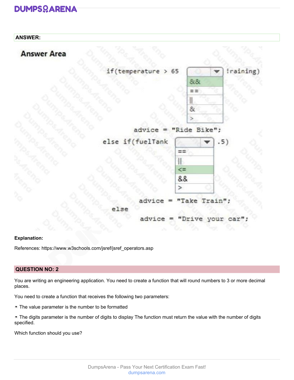### **ANSWER:**



65 at ⋗



advice "Ride Bike";

else if(fuelTank

ã

| 88 |  |
|----|--|
|    |  |

$$
idvice = "Take Train";
$$

advice ou C

### **Explanation:**

References: https://www.w3schools.com/jsref/jsref\_operators.asp

### **QUESTION NO: 2**

You are writing an engineering application. You need to create a function that will round numbers to 3 or more decimal places.

You need to create a function that receives the following two parameters:

- The value parameter is the number to be formatted
- The digits parameter is the number of digits to display The function must return the value with the number of digits specified.

Which function should you use?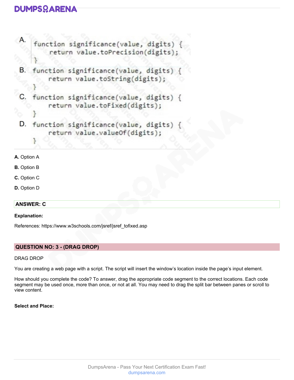

- **A.** Option A
- **B.** Option B
- **C.** Option C
- **D.** Option D

### **ANSWER: C**

### **Explanation:**

References: https://www.w3schools.com/jsref/jsref\_tofixed.asp

### **QUESTION NO: 3 - (DRAG DROP)**

### DRAG DROP

You are creating a web page with a script. The script will insert the window's location inside the page's input element.

How should you complete the code? To answer, drag the appropriate code segment to the correct locations. Each code segment may be used once, more than once, or not at all. You may need to drag the split bar between panes or scroll to view content.

### **Select and Place:**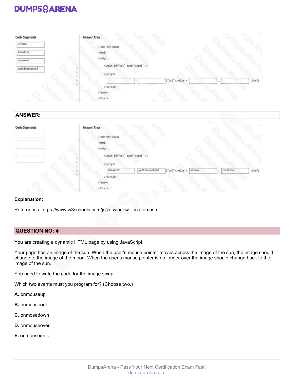| <b>Code Segments</b> | <b>Answer Area</b>                                                                                                                                                                      |
|----------------------|-----------------------------------------------------------------------------------------------------------------------------------------------------------------------------------------|
| window               | html                                                                                                                                                                                    |
| location             | <html></html>                                                                                                                                                                           |
|                      | <body></body>                                                                                                                                                                           |
| document             |                                                                                                                                                                                         |
| getElementById       | <input id="url" type="input"/>                                                                                                                                                          |
|                      | <script></th></tr><tr><th></th><th><math>("url")</math>.value =<br>.href;<br><math display="inline">\sim</math></th></tr><tr><th></th><th>becomes recovered to the control<br></script> |
|                      |                                                                                                                                                                                         |
|                      |                                                                                                                                                                                         |
| A                    | JS.                                                                                                                                                                                     |
|                      |                                                                                                                                                                                         |
| <b>ANSWER:</b>       |                                                                                                                                                                                         |
|                      | <b>CONTRACTOR</b>                                                                                                                                                                       |
| <b>Code Segments</b> | <b>Answer Area</b>                                                                                                                                                                      |
|                      |                                                                                                                                                                                         |
|                      | html                                                                                                                                                                                    |
|                      | <html></html>                                                                                                                                                                           |
|                      | <body></body>                                                                                                                                                                           |
|                      | <input id="url" type="input"/>                                                                                                                                                          |
|                      |                                                                                                                                                                                         |
|                      | conters                                                                                                                                                                                 |

|  | document | getElementById | $("ur1")$ .value = $ $ window |  | location | $.$ href; |
|--|----------|----------------|-------------------------------|--|----------|-----------|
|  |          |                |                               |  |          |           |
|  |          |                |                               |  |          |           |
|  |          |                |                               |  |          |           |

### **Explanation:**

References: https://www.w3schools.com/js/js\_window\_location.asp

### **QUESTION NO: 4**

You are creating a dynamic HTML page by using JavaScript.

Your page has an image of the sun. When the user's mouse pointer moves across the image of the sun, the image should change to the image of the moon. When the user's mouse pointer is no longer over the image should change back to the image of the sun.

You need to write the code for the image swap.

Which two events must you program for? (Choose two.)

- **A.** onmouseup
- **B.** onmouseout
- **C.** onmosedown
- **D.** onmouseover
- **E.** onmouseenter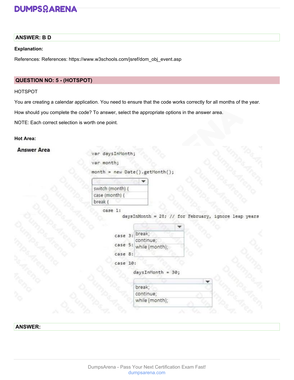### **ANSWER: B D**

### **Explanation:**

References: References: https://www.w3schools.com/jsref/dom\_obj\_event.asp

### **QUESTION NO: 5 - (HOTSPOT)**

### HOTSPOT

You are creating a calendar application. You need to ensure that the code works correctly for all months of the year.

How should you complete the code? To answer, select the appropriate options in the answer area.

NOTE: Each correct selection is worth one point.

### **Hot Area:**

### **Answer Area**

var daysInMonth;

var month;

```
month = new Date().getMonth();
```

| switch (month) |  |
|----------------|--|
| case (month)   |  |
| break          |  |

case 1:

daysInMonth = 28; // for February, ignore leap years

| case 3:  | break;              |
|----------|---------------------|
|          | continue;           |
| case 5:  | while (month);      |
| case 8:  |                     |
| case 10: | $daysInMonth = 30;$ |
|          | break;              |
|          | continue;           |
|          | while (month);      |

### **ANSWER:**